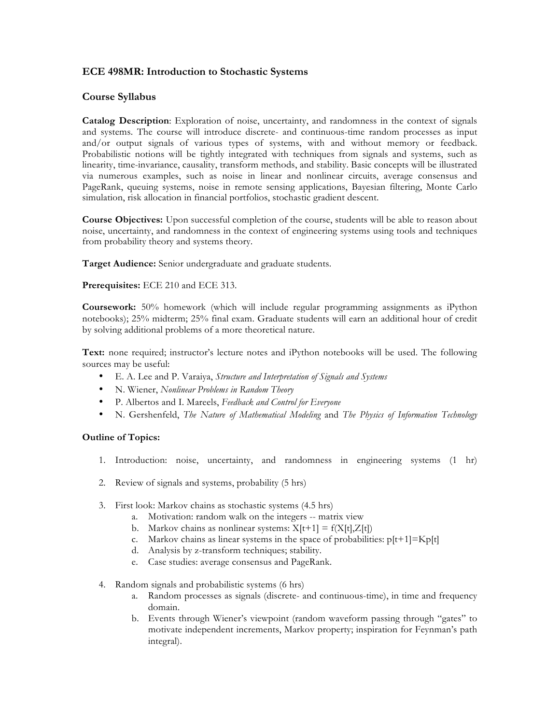## **ECE 498MR: Introduction to Stochastic Systems**

## **Course Syllabus**

**Catalog Description**: Exploration of noise, uncertainty, and randomness in the context of signals and systems. The course will introduce discrete- and continuous-time random processes as input and/or output signals of various types of systems, with and without memory or feedback. Probabilistic notions will be tightly integrated with techniques from signals and systems, such as linearity, time-invariance, causality, transform methods, and stability. Basic concepts will be illustrated via numerous examples, such as noise in linear and nonlinear circuits, average consensus and PageRank, queuing systems, noise in remote sensing applications, Bayesian filtering, Monte Carlo simulation, risk allocation in financial portfolios, stochastic gradient descent.

**Course Objectives:** Upon successful completion of the course, students will be able to reason about noise, uncertainty, and randomness in the context of engineering systems using tools and techniques from probability theory and systems theory.

**Target Audience:** Senior undergraduate and graduate students.

## **Prerequisites:** ECE 210 and ECE 313.

**Coursework:** 50% homework (which will include regular programming assignments as iPython notebooks); 25% midterm; 25% final exam. Graduate students will earn an additional hour of credit by solving additional problems of a more theoretical nature.

**Text:** none required; instructor's lecture notes and iPython notebooks will be used. The following sources may be useful:

- E. A. Lee and P. Varaiya, *Structure and Interpretation of Signals and Systems*
- N. Wiener, *Nonlinear Problems in Random Theory*
- P. Albertos and I. Mareels, *Feedback and Control for Everyone*
- N. Gershenfeld, *The Nature of Mathematical Modeling* and *The Physics of Information Technology*

## **Outline of Topics:**

- 1. Introduction: noise, uncertainty, and randomness in engineering systems (1 hr)
- 2. Review of signals and systems, probability (5 hrs)
- 3. First look: Markov chains as stochastic systems (4.5 hrs)
	- a. Motivation: random walk on the integers -- matrix view
	- b. Markov chains as nonlinear systems:  $\overline{X}[t+1] = f(X[t], Z[t])$
	- c. Markov chains as linear systems in the space of probabilities:  $p[t+1] = Kp[t]$
	- d. Analysis by z-transform techniques; stability.
	- e. Case studies: average consensus and PageRank.
- 4. Random signals and probabilistic systems (6 hrs)
	- a. Random processes as signals (discrete- and continuous-time), in time and frequency domain.
	- b. Events through Wiener's viewpoint (random waveform passing through "gates" to motivate independent increments, Markov property; inspiration for Feynman's path integral).